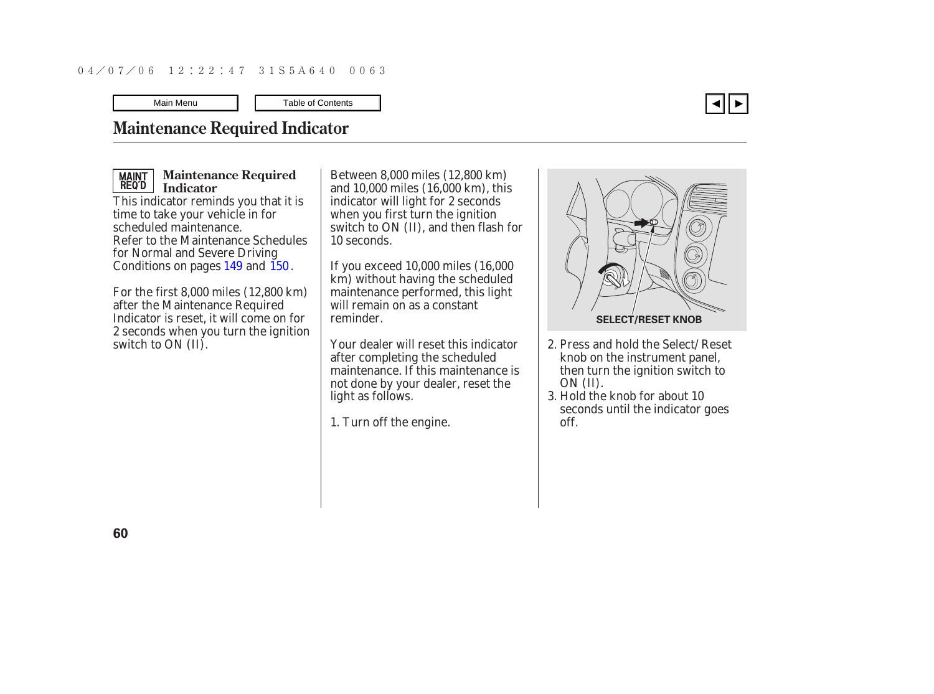### <span id="page-0-0"></span>**Maintenance Required Indicator**

## MAINT<br>REQ'D

**Maintenance Required Indicator**

This indicator reminds you that it is time to take your vehicle in for scheduled maintenance. Refer to the Maintenance Schedules for Normal and Severe Driving Conditions on pages  $149$  and  $150$ .

For the first 8,000 miles (12,800 km) after the Maintenance Required Indicator is reset, it will come on for 2 seconds when you turn the ignition switch to ON (II).

Between 8,000 miles (12,800 km) and 10,000 miles (16,000 km), this indicator will light for 2 seconds when you first turn the ignition switch to ON (II), and then flash for 10 seconds.

If you exceed 10,000 miles (16,000 km) without having the scheduled maintenance performed, this light will remain on as a constant reminder.

Your dealer will reset this indicator after completing the scheduled maintenance. If this maintenance is not done by your dealer, reset the light as follows.

1. Turn off the engine.



- 2. Press and hold the Select/Reset knob on the instrument panel, then turn the ignition switch to ON (II).
- 3. Hold the knob for about 10 seconds until the indicator goes off.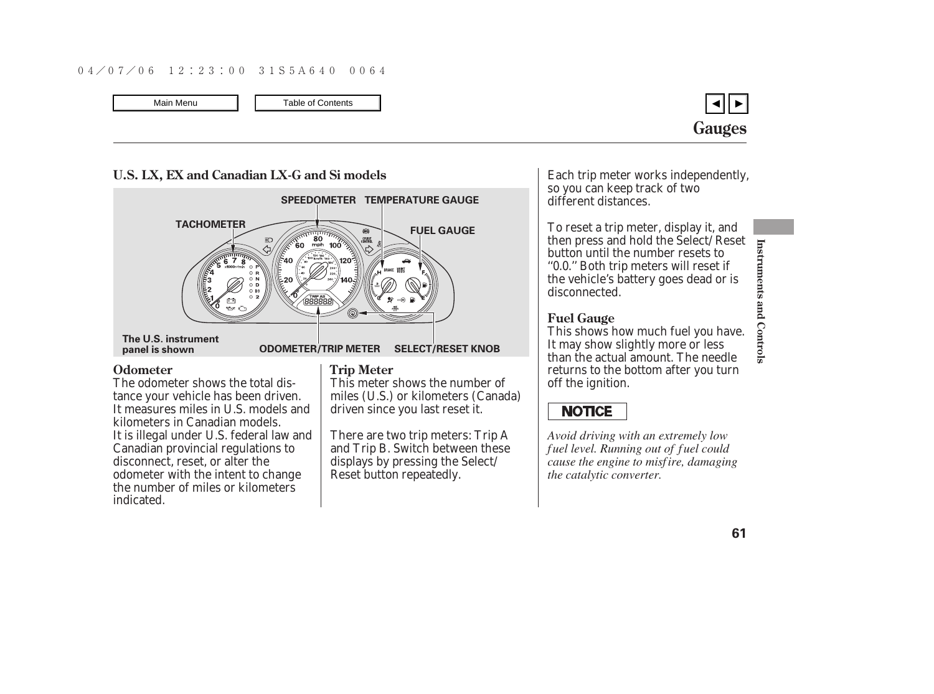

# **U.S. LX, EX and Canadian LX-G and Si models ODOMETER/TRIP METER SELECT/RESET KNOB The U.S. instrument panel is shown TACHOMETER SPEEDOMETER TEMPERATURE GAUGE FUEL GAUGE**

The odometer shows the total distance your vehicle has been driven. It measures miles in U.S. models and kilometers in Canadian models. It is illegal under U.S. federal law and Canadian provincial regulations to disconnect, reset, or alter the odometer with the intent to change the number of miles or kilometers indicated.

#### **Odometer** Trip Meter

This meter shows the number of miles (U.S.) or kilometers (Canada) driven since you last reset it.

There are two trip meters: Trip A and Trip B. Switch between these displays by pressing the Select/ Reset button repeatedly.

Each trip meter works independently, so you can keep track of two different distances.

To reset a trip meter, display it, and then press and hold the Select/Reset button until the number resets to ''0.0.'' Both trip meters will reset if the vehicle's battery goes dead or is disconnected.

#### **Fuel Gauge**

This shows how much fuel you have. It may show slightly more or less than the actual amount. The needle returns to the bottom after you turn off the ignition.

## **NOTICE**

*Avoid driving with an extremely low f uel level. Running out of f uel could cause the engine to misf ire, damaging the catalytic converter.*